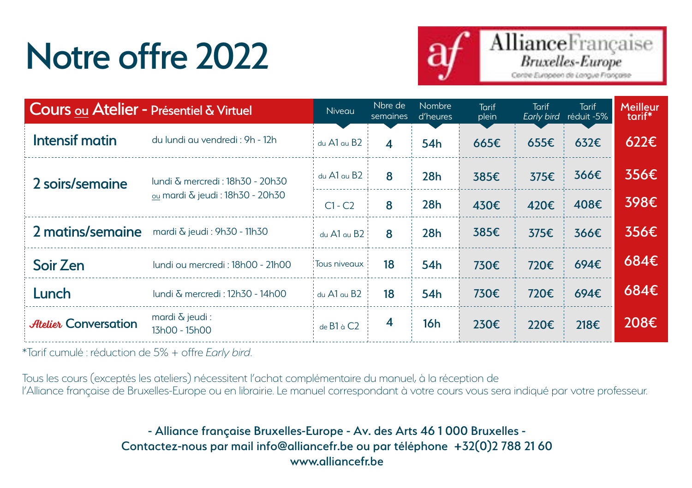## Notre offre 2022



| Cours ou Atelier - Présentiel & Virtuel |                                                                                 | Niveau          | Nbre de<br>semaines | <b>Nombre</b><br>d'heures | <b>Tarif</b><br>plein | Tarif<br>Early bird | <b>Tarif</b><br>réduit -5% | Meilleur<br>tarif* |
|-----------------------------------------|---------------------------------------------------------------------------------|-----------------|---------------------|---------------------------|-----------------------|---------------------|----------------------------|--------------------|
| Intensif matin                          | du lundi au vendredi : 9h - 12h                                                 | $du$ A1 $du$ B2 | $\boldsymbol{4}$    | 54 <sub>h</sub>           | 665€                  | $655 \epsilon$      | $632 \epsilon$             | $622 \epsilon$     |
| 2 soirs/semaine                         | lundi & mercredi : 18h30 - 20h30<br><sub>ou</sub> mardi & jeudi : 18h30 - 20h30 | $du$ A1 $au$ B2 | 8                   | 28h                       | 385€                  | 375€                | 366€                       | 356€               |
|                                         |                                                                                 | $C1 - C2$       | 8                   | 28h                       | 430€                  | 420€                | 408€                       | 398€               |
| 2 matins/semaine                        | mardi & jeudi: 9h30 - 11h30                                                     | du A1 au B2     | 8                   | 28h                       | 385€                  | 375€                | 366€                       | 356€               |
| Soir Zen                                | lundi ou mercredi : 18h00 - 21h00                                               | Tous niveaux    | 18                  | 54 <sub>h</sub>           | 730€                  | 720€                | 694E                       | 684€               |
| Lunch                                   | lundi & mercredi : 12h30 - 14h00                                                | du A1 au B2     | 18                  | 54 <sub>h</sub>           | 730€                  | 720€                | 694€                       | 684€               |
| <b>Atelier Conversation</b>             | mardi $\delta$ jeudi:<br>13h00 - 15h00                                          | de B1 à C2      | $\overline{4}$      | 16h                       | 230€                  | 220€                | 218€                       | 208€               |

\*Tarif cumulé : réduction de 5% + offre *Early bird*.

Tous les cours (exceptés les ateliers) nécessitent l'achat complémentaire du manuel, à la réception de l'Alliance française de Bruxelles-Europe ou en librairie. Le manuel correspondant à votre cours vous sera indiqué par votre professeur.

> - Alliance française Bruxelles-Europe - Av. des Arts 46 1 000 Bruxelles - Contactez-nous par mail info@alliancefr.be ou par téléphone +32(0)2 788 21 60 www.alliancefr.be